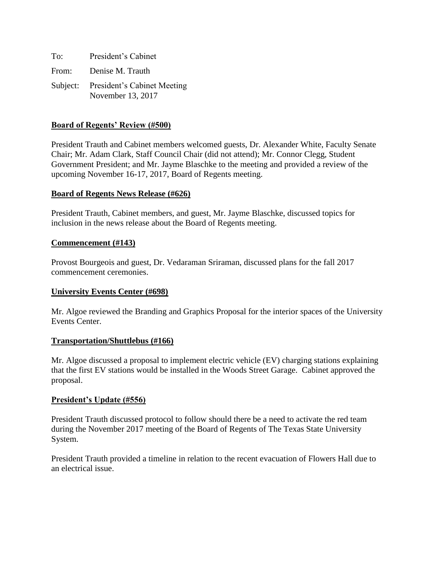| To:   | President's Cabinet                                       |
|-------|-----------------------------------------------------------|
| From: | Denise M. Trauth                                          |
|       | Subject: President's Cabinet Meeting<br>November 13, 2017 |

### **Board of Regents' Review (#500)**

President Trauth and Cabinet members welcomed guests, Dr. Alexander White, Faculty Senate Chair; Mr. Adam Clark, Staff Council Chair (did not attend); Mr. Connor Clegg, Student Government President; and Mr. Jayme Blaschke to the meeting and provided a review of the upcoming November 16-17, 2017, Board of Regents meeting.

#### **Board of Regents News Release (#626)**

President Trauth, Cabinet members, and guest, Mr. Jayme Blaschke, discussed topics for inclusion in the news release about the Board of Regents meeting.

#### **Commencement (#143)**

Provost Bourgeois and guest, Dr. Vedaraman Sriraman, discussed plans for the fall 2017 commencement ceremonies.

#### **University Events Center (#698)**

Mr. Algoe reviewed the Branding and Graphics Proposal for the interior spaces of the University Events Center.

#### **Transportation/Shuttlebus (#166)**

Mr. Algoe discussed a proposal to implement electric vehicle (EV) charging stations explaining that the first EV stations would be installed in the Woods Street Garage. Cabinet approved the proposal.

#### **President's Update (#556)**

President Trauth discussed protocol to follow should there be a need to activate the red team during the November 2017 meeting of the Board of Regents of The Texas State University System.

President Trauth provided a timeline in relation to the recent evacuation of Flowers Hall due to an electrical issue.